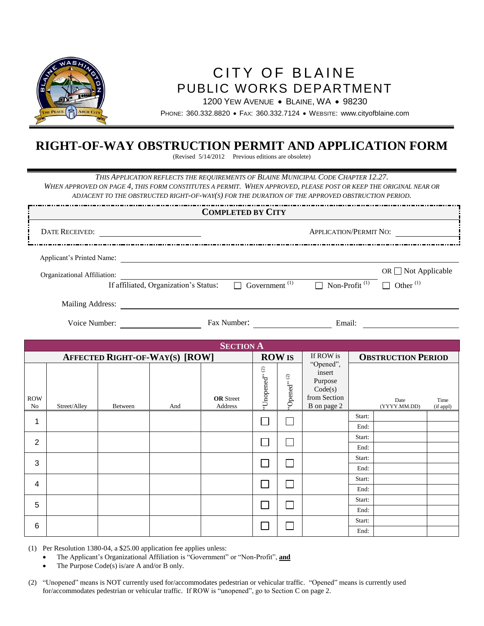

# CITY OF BLAINE PUBLIC WORKS DEPARTMENT

1200 YEW AVENUE . BLAINE, WA . 98230

PHONE: 360.332.8820 FAX: 360.332.7124 WEBSITE: www.cityofblaine.com

### **RIGHT-OF-WAY OBSTRUCTION PERMIT AND APPLICATION FORM**

(Revised 5/14/2012 Previous editions are obsolete)

*THIS APPLICATION REFLECTS THE REQUIREMENTS OF BLAINE MUNICIPAL CODE CHAPTER 12.27. WHEN APPROVED ON PAGE 4, THIS FORM CONSTITUTES A PERMIT. WHEN APPROVED, PLEASE POST OR KEEP THE ORIGINAL NEAR OR*

*ADJACENT TO THE OBSTRUCTED RIGHT-OF-WAY(S) FOR THE DURATION OF THE APPROVED OBSTRUCTION PERIOD.*

| <b>COMPLETED BY CITY</b>    |                                       |                                                           |                                  |                                            |  |
|-----------------------------|---------------------------------------|-----------------------------------------------------------|----------------------------------|--------------------------------------------|--|
| <b>DATE RECEIVED:</b>       |                                       |                                                           | <b>APPLICATION/PERMIT NO:</b>    |                                            |  |
| Applicant's Printed Name:   |                                       |                                                           |                                  |                                            |  |
| Organizational Affiliation: | If affiliated, Organization's Status: | Government <sup>(1)</sup>                                 | $\Box$ Non-Profit <sup>(1)</sup> | OR $\Box$ Not Applicable<br>Other $^{(1)}$ |  |
| Mailing Address:            |                                       |                                                           |                                  |                                            |  |
| Voice Number:               | Fax Number:                           |                                                           |                                  | Email:                                     |  |
| <b>SECTION A</b>            |                                       |                                                           |                                  |                                            |  |
|                             | <b>AFFECTED RIGHT-OF-WAY(S) [ROW]</b> | <b>ROW IS</b><br>$\widehat{c}$<br>$\widehat{\mathcal{L}}$ | If ROW is<br>"Opened",<br>insert | <b>OBSTRUCTION PERIOD</b>                  |  |

| ROW<br>No               | Street/Alley | Between | And | <b>OR</b> Street<br>Address | 'Unopened'' $^{\left( 2\right) }$ | 'Opened" $^{(2)}$ | "Opened",<br>insert<br>Purpose<br>Code(s)<br>from Section<br>B on page 2 |        | Date<br>(YYYY.MM.DD) | Time<br>(if appl) |  |  |
|-------------------------|--------------|---------|-----|-----------------------------|-----------------------------------|-------------------|--------------------------------------------------------------------------|--------|----------------------|-------------------|--|--|
| 1                       |              |         |     |                             |                                   | ٦                 |                                                                          | Start: |                      |                   |  |  |
|                         |              |         |     |                             |                                   |                   |                                                                          | End:   |                      |                   |  |  |
| $\overline{2}$          |              |         |     |                             |                                   | Ξ                 |                                                                          | Start: |                      |                   |  |  |
|                         |              |         |     |                             |                                   |                   |                                                                          | End:   |                      |                   |  |  |
| $\mathbf{3}$            |              |         |     |                             |                                   | ┐                 |                                                                          | Start: |                      |                   |  |  |
|                         |              |         |     |                             |                                   |                   |                                                                          | End:   |                      |                   |  |  |
| $\overline{\mathbf{4}}$ |              |         |     |                             |                                   | $\Box$            |                                                                          | Start: |                      |                   |  |  |
|                         |              |         |     |                             |                                   |                   |                                                                          | End:   |                      |                   |  |  |
| $\sqrt{5}$              |              |         |     |                             |                                   |                   |                                                                          | Start: |                      |                   |  |  |
|                         |              |         |     |                             |                                   | ┓                 |                                                                          | End:   |                      |                   |  |  |
| $\,6$                   |              |         |     |                             |                                   |                   |                                                                          |        |                      | Start:            |  |  |
|                         |              |         |     |                             |                                   | $\sim$            |                                                                          | End:   |                      |                   |  |  |

(1) Per Resolution 1380-04, a \$25.00 application fee applies unless:

- The Applicant's Organizational Affiliation is "Government" or "Non-Profit", **and**
- The Purpose Code(s) is/are A and/or B only.
- (2) "Unopened" means is NOT currently used for/accommodates pedestrian or vehicular traffic. "Opened" means is currently used for/accommodates pedestrian or vehicular traffic. If ROW is "unopened", go to Section C on page 2.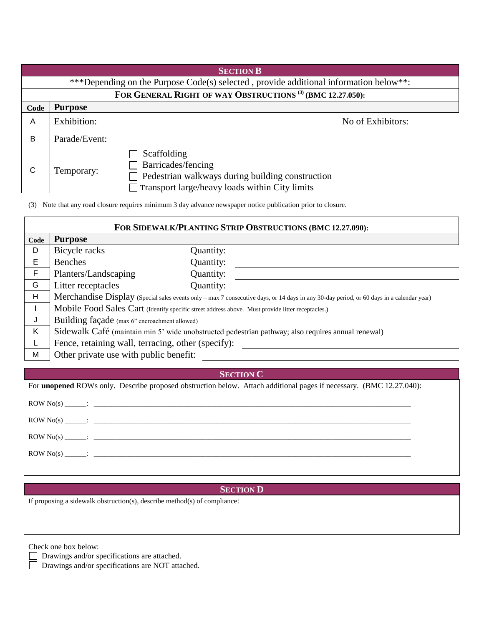|      | <b>SECTION B</b>                                                                      |                                                                                                                                                |                   |  |  |  |  |  |
|------|---------------------------------------------------------------------------------------|------------------------------------------------------------------------------------------------------------------------------------------------|-------------------|--|--|--|--|--|
|      | ***Depending on the Purpose Code(s) selected, provide additional information below**: |                                                                                                                                                |                   |  |  |  |  |  |
|      | FOR GENERAL RIGHT OF WAY OBSTRUCTIONS <sup>(3)</sup> (BMC 12.27.050):                 |                                                                                                                                                |                   |  |  |  |  |  |
| Code | <b>Purpose</b>                                                                        |                                                                                                                                                |                   |  |  |  |  |  |
| A    | Exhibition:                                                                           |                                                                                                                                                | No of Exhibitors: |  |  |  |  |  |
| B    | Parade/Event:                                                                         |                                                                                                                                                |                   |  |  |  |  |  |
| C    | Temporary:                                                                            | Scaffolding<br>Barricades/fencing<br>Pedestrian walkways during building construction<br>$\Box$ Transport large/heavy loads within City limits |                   |  |  |  |  |  |

(3) Note that any road closure requires minimum 3 day advance newspaper notice publication prior to closure.

| FOR SIDEWALK/PLANTING STRIP OBSTRUCTIONS (BMC 12.27.090): |                                                                                                    |           |                                                                                                                                          |  |  |  |
|-----------------------------------------------------------|----------------------------------------------------------------------------------------------------|-----------|------------------------------------------------------------------------------------------------------------------------------------------|--|--|--|
| Code                                                      | <b>Purpose</b>                                                                                     |           |                                                                                                                                          |  |  |  |
| D                                                         | Bicycle racks                                                                                      | Quantity: |                                                                                                                                          |  |  |  |
| E                                                         | Benches                                                                                            | Quantity: |                                                                                                                                          |  |  |  |
| F                                                         | Planters/Landscaping                                                                               | Quantity: |                                                                                                                                          |  |  |  |
| G                                                         | Litter receptacles                                                                                 | Quantity: |                                                                                                                                          |  |  |  |
| H                                                         |                                                                                                    |           | Merchandise Display (Special sales events only - max 7 consecutive days, or 14 days in any 30-day period, or 60 days in a calendar year) |  |  |  |
|                                                           | Mobile Food Sales Cart (Identify specific street address above. Must provide litter receptacles.)  |           |                                                                                                                                          |  |  |  |
| J                                                         | Building façade (max 6" encroachment allowed)                                                      |           |                                                                                                                                          |  |  |  |
| K                                                         | Sidewalk Café (maintain min 5' wide unobstructed pedestrian pathway; also requires annual renewal) |           |                                                                                                                                          |  |  |  |
|                                                           | Fence, retaining wall, terracing, other (specify):                                                 |           |                                                                                                                                          |  |  |  |
| M                                                         | Other private use with public benefit:                                                             |           |                                                                                                                                          |  |  |  |

٦

**SECTION C**

| For <b>unopened</b> ROWs only. Describe proposed obstruction below. Attach additional pages if necessary. (BMC 12.27.040): |  |
|----------------------------------------------------------------------------------------------------------------------------|--|
|                                                                                                                            |  |
|                                                                                                                            |  |
|                                                                                                                            |  |
| $\text{ROW No(s)}$ :                                                                                                       |  |
|                                                                                                                            |  |

#### **SECTION D**

If proposing a sidewalk obstruction(s), describe method(s) of compliance:

Check one box below:

Drawings and/or specifications are attached.

Drawings and/or specifications are NOT attached.

 $\Gamma$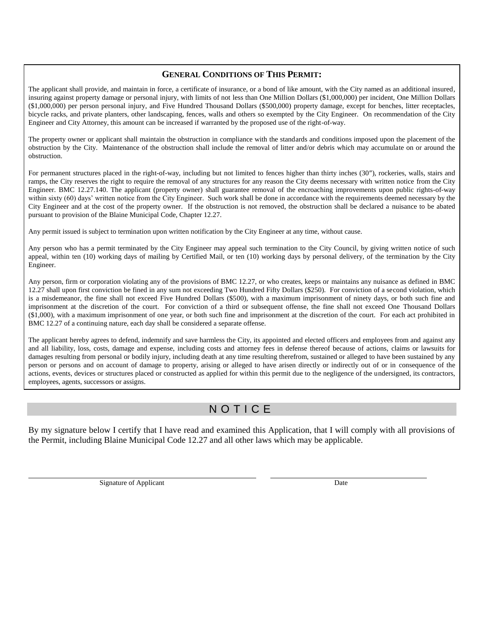#### **GENERAL CONDITIONS OF THIS PERMIT:**

The applicant shall provide, and maintain in force, a certificate of insurance, or a bond of like amount, with the City named as an additional insured, insuring against property damage or personal injury, with limits of not less than One Million Dollars (\$1,000,000) per incident, One Million Dollars (\$1,000,000) per person personal injury, and Five Hundred Thousand Dollars (\$500,000) property damage, except for benches, litter receptacles, bicycle racks, and private planters, other landscaping, fences, walls and others so exempted by the City Engineer. On recommendation of the City Engineer and City Attorney, this amount can be increased if warranted by the proposed use of the right-of-way.

The property owner or applicant shall maintain the obstruction in compliance with the standards and conditions imposed upon the placement of the obstruction by the City. Maintenance of the obstruction shall include the removal of litter and/or debris which may accumulate on or around the obstruction.

For permanent structures placed in the right-of-way, including but not limited to fences higher than thirty inches (30"), rockeries, walls, stairs and ramps, the City reserves the right to require the removal of any structures for any reason the City deems necessary with written notice from the City Engineer. BMC 12.27.140. The applicant (property owner) shall guarantee removal of the encroaching improvements upon public rights-of-way within sixty (60) days' written notice from the City Engineer. Such work shall be done in accordance with the requirements deemed necessary by the City Engineer and at the cost of the property owner. If the obstruction is not removed, the obstruction shall be declared a nuisance to be abated pursuant to provision of the Blaine Municipal Code, Chapter 12.27.

Any permit issued is subject to termination upon written notification by the City Engineer at any time, without cause.

Any person who has a permit terminated by the City Engineer may appeal such termination to the City Council, by giving written notice of such appeal, within ten (10) working days of mailing by Certified Mail, or ten (10) working days by personal delivery, of the termination by the City Engineer.

Any person, firm or corporation violating any of the provisions of BMC 12.27, or who creates, keeps or maintains any nuisance as defined in BMC 12.27 shall upon first conviction be fined in any sum not exceeding Two Hundred Fifty Dollars (\$250). For conviction of a second violation, which is a misdemeanor, the fine shall not exceed Five Hundred Dollars (\$500), with a maximum imprisonment of ninety days, or both such fine and imprisonment at the discretion of the court. For conviction of a third or subsequent offense, the fine shall not exceed One Thousand Dollars (\$1,000), with a maximum imprisonment of one year, or both such fine and imprisonment at the discretion of the court. For each act prohibited in BMC 12.27 of a continuing nature, each day shall be considered a separate offense.

The applicant hereby agrees to defend, indemnify and save harmless the City, its appointed and elected officers and employees from and against any and all liability, loss, costs, damage and expense, including costs and attorney fees in defense thereof because of actions, claims or lawsuits for damages resulting from personal or bodily injury, including death at any time resulting therefrom, sustained or alleged to have been sustained by any person or persons and on account of damage to property, arising or alleged to have arisen directly or indirectly out of or in consequence of the actions, events, devices or structures placed or constructed as applied for within this permit due to the negligence of the undersigned, its contractors, employees, agents, successors or assigns.

# N O T I C E

By my signature below I certify that I have read and examined this Application, that I will comply with all provisions of the Permit, including Blaine Municipal Code 12.27 and all other laws which may be applicable.

Signature of Applicant Date